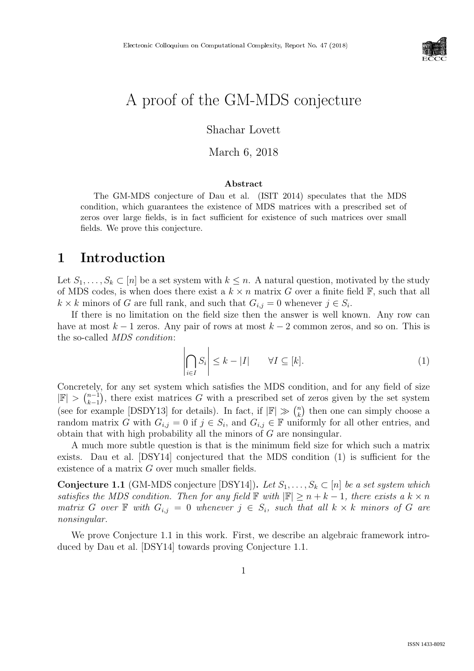

# A proof of the GM-MDS conjecture

Shachar Lovett

March 6, 2018

#### Abstract

The GM-MDS conjecture of Dau et al. (ISIT 2014) speculates that the MDS condition, which guarantees the existence of MDS matrices with a prescribed set of zeros over large fields, is in fact sufficient for existence of such matrices over small fields. We prove this conjecture.

# 1 Introduction

Let  $S_1, \ldots, S_k \subset [n]$  be a set system with  $k \leq n$ . A natural question, motivated by the study of MDS codes, is when does there exist a  $k \times n$  matrix G over a finite field  $\mathbb{F}$ , such that all  $k \times k$  minors of G are full rank, and such that  $G_{i,j} = 0$  whenever  $j \in S_i$ .

If there is no limitation on the field size then the answer is well known. Any row can have at most  $k - 1$  zeros. Any pair of rows at most  $k - 2$  common zeros, and so on. This is the so-called MDS condition:

$$
\left| \bigcap_{i \in I} S_i \right| \le k - |I| \qquad \forall I \subseteq [k]. \tag{1}
$$

Concretely, for any set system which satisfies the MDS condition, and for any field of size  $|\mathbb{F}| > {n-1 \choose k-1}$  $\binom{n-1}{k-1}$ , there exist matrices G with a prescribed set of zeros given by the set system (see for example [DSDY13] for details). In fact, if  $|\mathbb{F}| \gg \binom{n}{k}$  $\binom{n}{k}$  then one can simply choose a random matrix G with  $G_{i,j} = 0$  if  $j \in S_i$ , and  $G_{i,j} \in \mathbb{F}$  uniformly for all other entries, and obtain that with high probability all the minors of  $G$  are nonsingular.

A much more subtle question is that is the minimum field size for which such a matrix exists. Dau et al. [DSY14] conjectured that the MDS condition (1) is sufficient for the existence of a matrix G over much smaller fields.

**Conjecture 1.1** (GM-MDS conjecture [DSY14]). Let  $S_1, \ldots, S_k \subset [n]$  be a set system which satisfies the MDS condition. Then for any field  $\mathbb{F}$  with  $|\mathbb{F}| \geq n + k - 1$ , there exists a  $k \times n$ matrix G over  $\mathbb F$  with  $G_{i,j} = 0$  whenever  $j \in S_i$ , such that all  $k \times k$  minors of G are nonsingular.

We prove Conjecture 1.1 in this work. First, we describe an algebraic framework introduced by Dau et al. [DSY14] towards proving Conjecture 1.1.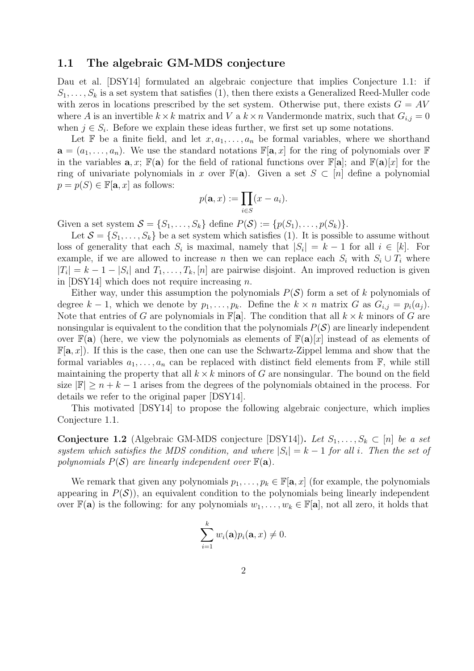### 1.1 The algebraic GM-MDS conjecture

Dau et al. [DSY14] formulated an algebraic conjecture that implies Conjecture 1.1: if  $S_1, \ldots, S_k$  is a set system that satisfies (1), then there exists a Generalized Reed-Muller code with zeros in locations prescribed by the set system. Otherwise put, there exists  $G = AV$ where A is an invertible  $k \times k$  matrix and V a  $k \times n$  Vandermonde matrix, such that  $G_{i,j} = 0$ when  $j \in S_i$ . Before we explain these ideas further, we first set up some notations.

Let F be a finite field, and let  $x, a_1, \ldots, a_n$  be formal variables, where we shorthand  $\mathbf{a} = (a_1, \ldots, a_n)$ . We use the standard notations  $\mathbb{F}[\mathbf{a}, x]$  for the ring of polynomials over  $\mathbb{F}$ in the variables  $\mathbf{a}, x$ ;  $\mathbb{F}(\mathbf{a})$  for the field of rational functions over  $\mathbb{F}[\mathbf{a}]$ ; and  $\mathbb{F}(\mathbf{a})[x]$  for the ring of univariate polynomials in x over  $\mathbb{F}(\mathbf{a})$ . Given a set  $S \subset [n]$  define a polynomial  $p = p(S) \in \mathbb{F}[\mathbf{a}, x]$  as follows:

$$
p(\mathbf{a},x) := \prod_{i \in S} (x - a_i).
$$

Given a set system  $S = \{S_1, \ldots, S_k\}$  define  $P(S) := \{p(S_1), \ldots, p(S_k)\}.$ 

Let  $S = \{S_1, \ldots, S_k\}$  be a set system which satisfies (1). It is possible to assume without loss of generality that each  $S_i$  is maximal, namely that  $|S_i| = k - 1$  for all  $i \in [k]$ . For example, if we are allowed to increase n then we can replace each  $S_i$  with  $S_i \cup T_i$  where  $|T_i| = k - 1 - |S_i|$  and  $T_1, \ldots, T_k, [n]$  are pairwise disjoint. An improved reduction is given in  $[DSY14]$  which does not require increasing n.

Either way, under this assumption the polynomials  $P(S)$  form a set of k polynomials of degree  $k-1$ , which we denote by  $p_1, \ldots, p_k$ . Define the  $k \times n$  matrix G as  $G_{i,j} = p_i(a_j)$ . Note that entries of G are polynomials in  $\mathbb{F}[a]$ . The condition that all  $k \times k$  minors of G are nonsingular is equivalent to the condition that the polynomials  $P(S)$  are linearly independent over  $\mathbb{F}(\mathbf{a})$  (here, we view the polynomials as elements of  $\mathbb{F}(\mathbf{a})[x]$  instead of as elements of  $\mathbb{F}[\mathbf{a},x]$ . If this is the case, then one can use the Schwartz-Zippel lemma and show that the formal variables  $a_1, \ldots, a_n$  can be replaced with distinct field elements from  $\mathbb{F}$ , while still maintaining the property that all  $k \times k$  minors of G are nonsingular. The bound on the field size  $\mathbb{F} \geq n + k - 1$  arises from the degrees of the polynomials obtained in the process. For details we refer to the original paper [DSY14].

This motivated [DSY14] to propose the following algebraic conjecture, which implies Conjecture 1.1.

**Conjecture 1.2** (Algebraic GM-MDS conjecture [DSY14]). Let  $S_1, \ldots, S_k \subset [n]$  be a set system which satisfies the MDS condition, and where  $|S_i| = k - 1$  for all i. Then the set of polynomials  $P(S)$  are linearly independent over  $\mathbb{F}(\mathbf{a})$ .

We remark that given any polynomials  $p_1, \ldots, p_k \in \mathbb{F}[\mathbf{a}, x]$  (for example, the polynomials appearing in  $P(S)$ , an equivalent condition to the polynomials being linearly independent over  $\mathbb{F}(\mathbf{a})$  is the following: for any polynomials  $w_1, \ldots, w_k \in \mathbb{F}[\mathbf{a}]$ , not all zero, it holds that

$$
\sum_{i=1}^k w_i(\mathbf{a})p_i(\mathbf{a},x) \neq 0.
$$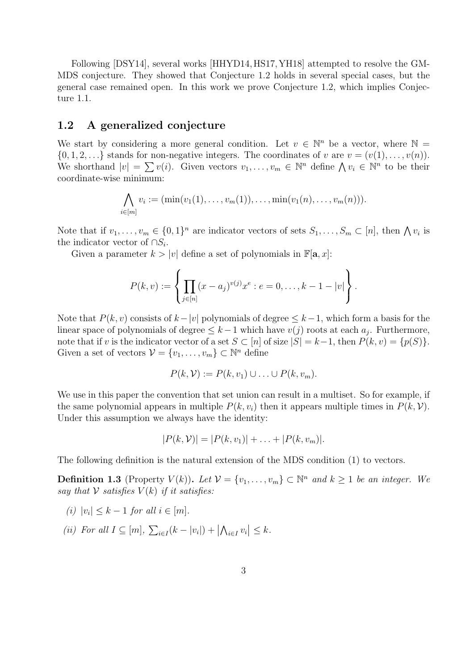Following [DSY14], several works [HHYD14, HS17, YH18] attempted to resolve the GM-MDS conjecture. They showed that Conjecture 1.2 holds in several special cases, but the general case remained open. In this work we prove Conjecture 1.2, which implies Conjecture 1.1.

### 1.2 A generalized conjecture

We start by considering a more general condition. Let  $v \in \mathbb{N}^n$  be a vector, where  $\mathbb{N} =$  $\{0, 1, 2, \ldots\}$  stands for non-negative integers. The coordinates of v are  $v = (v(1), \ldots, v(n))$ . We shorthand  $|v| = \sum v(i)$ . Given vectors  $v_1, \ldots, v_m \in \mathbb{N}^n$  define  $\bigwedge v_i \in \mathbb{N}^n$  to be their coordinate-wise minimum:

$$
\bigwedge_{i \in [m]} v_i := (\min(v_1(1), \ldots, v_m(1)), \ldots, \min(v_1(n), \ldots, v_m(n))).
$$

Note that if  $v_1, \ldots, v_m \in \{0,1\}^n$  are indicator vectors of sets  $S_1, \ldots, S_m \subset [n]$ , then  $\bigwedge v_i$  is the indicator vector of  $\cap S_i$ .

Given a parameter  $k > |v|$  define a set of polynomials in  $\mathbb{F}[\mathbf{a}, x]$ :

$$
P(k,v) := \left\{ \prod_{j \in [n]} (x - a_j)^{v(j)} x^e : e = 0, \dots, k - 1 - |v| \right\}.
$$

Note that  $P(k, v)$  consists of  $k-|v|$  polynomials of degree  $\leq k-1$ , which form a basis for the linear space of polynomials of degree  $\leq k-1$  which have  $v(j)$  roots at each  $a_j$ . Furthermore, note that if v is the indicator vector of a set  $S \subset [n]$  of size  $|S| = k-1$ , then  $P(k, v) = \{p(S)\}.$ Given a set of vectors  $\mathcal{V} = \{v_1, \ldots, v_m\} \subset \mathbb{N}^n$  define

$$
P(k, V) := P(k, v_1) \cup \ldots \cup P(k, v_m).
$$

We use in this paper the convention that set union can result in a multiset. So for example, if the same polynomial appears in multiple  $P(k, v_i)$  then it appears multiple times in  $P(k, V)$ . Under this assumption we always have the identity:

$$
|P(k, V)| = |P(k, v_1)| + \ldots + |P(k, v_m)|.
$$

The following definition is the natural extension of the MDS condition (1) to vectors.

**Definition 1.3** (Property  $V(k)$ ). Let  $V = \{v_1, \ldots, v_m\} \subset \mathbb{N}^n$  and  $k \ge 1$  be an integer. We say that  $V$  satisfies  $V(k)$  if it satisfies:

- (i)  $|v_i| \leq k 1$  for all  $i \in [m]$ .
- (ii) For all  $I \subseteq [m]$ ,  $\sum_{i \in I} (k |v_i|) + |\bigwedge_{i \in I} v_i| \leq k$ .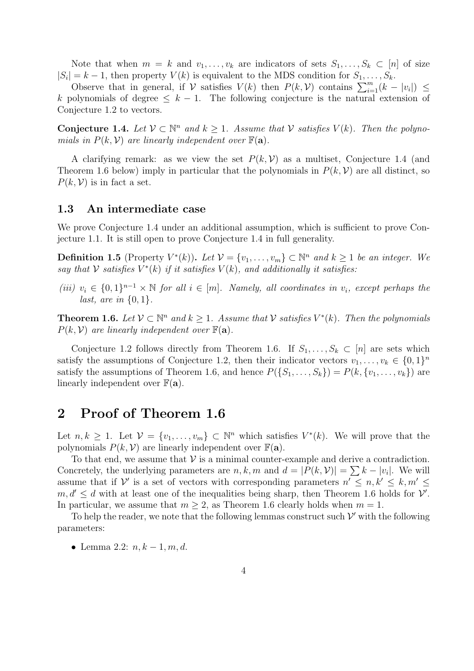Note that when  $m = k$  and  $v_1, \ldots, v_k$  are indicators of sets  $S_1, \ldots, S_k \subset [n]$  of size  $|S_i| = k - 1$ , then property  $V(k)$  is equivalent to the MDS condition for  $S_1, \ldots, S_k$ .

Observe that in general, if  $V$  satisfies  $V(k)$  then  $P(k, V)$  contains  $\sum_{i=1}^{m} (k - |v_i|) \leq$ k polynomials of degree  $\leq k-1$ . The following conjecture is the natural extension of Conjecture 1.2 to vectors.

Conjecture 1.4. Let  $V \subset \mathbb{N}^n$  and  $k \geq 1$ . Assume that V satisfies  $V(k)$ . Then the polynomials in  $P(k, V)$  are linearly independent over  $\mathbb{F}(\mathbf{a})$ .

A clarifying remark: as we view the set  $P(k, V)$  as a multiset, Conjecture 1.4 (and Theorem 1.6 below) imply in particular that the polynomials in  $P(k, V)$  are all distinct, so  $P(k, V)$  is in fact a set.

#### 1.3 An intermediate case

We prove Conjecture 1.4 under an additional assumption, which is sufficient to prove Conjecture 1.1. It is still open to prove Conjecture 1.4 in full generality.

**Definition 1.5** (Property  $V^*(k)$ ). Let  $V = \{v_1, \ldots, v_m\} \subset \mathbb{N}^n$  and  $k \geq 1$  be an integer. We say that V satisfies  $V^*(k)$  if it satisfies  $V(k)$ , and additionally it satisfies:

(iii)  $v_i \in \{0,1\}^{n-1} \times \mathbb{N}$  for all  $i \in [m]$ . Namely, all coordinates in  $v_i$ , except perhaps the last, are in  $\{0, 1\}$ .

**Theorem 1.6.** Let  $V \subset \mathbb{N}^n$  and  $k \geq 1$ . Assume that V satisfies  $V^*(k)$ . Then the polynomials  $P(k, V)$  are linearly independent over  $\mathbb{F}(\mathbf{a})$ .

Conjecture 1.2 follows directly from Theorem 1.6. If  $S_1, \ldots, S_k \subset [n]$  are sets which satisfy the assumptions of Conjecture 1.2, then their indicator vectors  $v_1, \ldots, v_k \in \{0,1\}^n$ satisfy the assumptions of Theorem 1.6, and hence  $P({S_1, \ldots, S_k}) = P(k, \{v_1, \ldots, v_k\})$  are linearly independent over  $F(\mathbf{a})$ .

### 2 Proof of Theorem 1.6

Let  $n, k \geq 1$ . Let  $\mathcal{V} = \{v_1, \ldots, v_m\} \subset \mathbb{N}^n$  which satisfies  $V^*(k)$ . We will prove that the polynomials  $P(k, V)$  are linearly independent over  $\mathbb{F}(\mathbf{a})$ .

To that end, we assume that  $V$  is a minimal counter-example and derive a contradiction. Concretely, the underlying parameters are  $n, k, m$  and  $d = |P(k, V)| = \sum k - |v_i|$ . We will assume that if V' is a set of vectors with corresponding parameters  $n' \leq n, k' \leq k, m' \leq$  $m, d' \leq d$  with at least one of the inequalities being sharp, then Theorem 1.6 holds for  $\mathcal{V}'$ . In particular, we assume that  $m \geq 2$ , as Theorem 1.6 clearly holds when  $m = 1$ .

To help the reader, we note that the following lemmas construct such  $\mathcal V'$  with the following parameters:

• Lemma 2.2:  $n, k-1, m, d$ .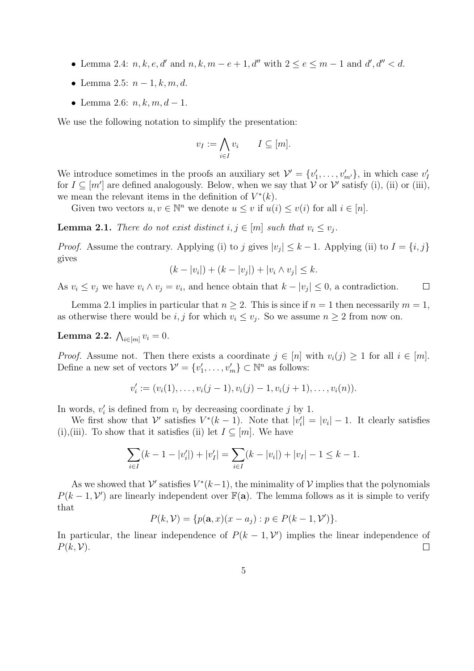- Lemma 2.4:  $n, k, e, d'$  and  $n, k, m e + 1, d''$  with  $2 \le e \le m 1$  and  $d', d'' < d$ .
- Lemma 2.5:  $n-1, k, m, d$ .
- Lemma 2.6:  $n, k, m, d 1$ .

We use the following notation to simplify the presentation:

$$
v_I := \bigwedge_{i \in I} v_i \qquad I \subseteq [m].
$$

We introduce sometimes in the proofs an auxiliary set  $\mathcal{V}' = \{v'_1, \ldots, v'_{m'}\}$ , in which case  $v'_1$ for  $I \subseteq [m']$  are defined analogously. Below, when we say that V or V' satisfy (i), (ii) or (iii), we mean the relevant items in the definition of  $V^*(k)$ .

Given two vectors  $u, v \in \mathbb{N}^n$  we denote  $u \leq v$  if  $u(i) \leq v(i)$  for all  $i \in [n]$ .

**Lemma 2.1.** There do not exist distinct  $i, j \in [m]$  such that  $v_i \leq v_j$ .

*Proof.* Assume the contrary. Applying (i) to j gives  $|v_j| \leq k - 1$ . Applying (ii) to  $I = \{i, j\}$ gives

$$
(k - |v_i|) + (k - |v_j|) + |v_i \wedge v_j| \le k.
$$

As  $v_i \leq v_j$  we have  $v_i \wedge v_j = v_i$ , and hence obtain that  $k - |v_j| \leq 0$ , a contradiction.  $\Box$ 

Lemma 2.1 implies in particular that  $n \geq 2$ . This is since if  $n = 1$  then necessarily  $m = 1$ , as otherwise there would be  $i, j$  for which  $v_i \leq v_j$ . So we assume  $n \geq 2$  from now on.

Lemma 2.2.  $\bigwedge_{i\in [m]}v_i=0.$ 

*Proof.* Assume not. Then there exists a coordinate  $j \in [n]$  with  $v_i(j) \geq 1$  for all  $i \in [m]$ . Define a new set of vectors  $\mathcal{V}' = \{v'_1, \ldots, v'_m\} \subset \mathbb{N}^n$  as follows:

$$
v'_{i} := (v_{i}(1), \ldots, v_{i}(j-1), v_{i}(j)-1, v_{i}(j+1), \ldots, v_{i}(n)).
$$

In words,  $v_i'$  is defined from  $v_i$  by decreasing coordinate j by 1.

We first show that  $\mathcal{V}'$  satisfies  $V^*(k-1)$ . Note that  $|v_i'| = |v_i| - 1$ . It clearly satisfies (i),(iii). To show that it satisfies (ii) let  $I \subseteq [m]$ . We have

$$
\sum_{i \in I} (k - 1 - |v'_i|) + |v'_I| = \sum_{i \in I} (k - |v_i|) + |v_I| - 1 \le k - 1.
$$

As we showed that  $\mathcal V'$  satisfies  $V^*(k-1)$ , the minimality of  $\mathcal V$  implies that the polynomials  $P(k-1, V')$  are linearly independent over  $\mathbb{F}(\mathbf{a})$ . The lemma follows as it is simple to verify that

$$
P(k, V) = \{p(\mathbf{a}, x)(x - a_j) : p \in P(k - 1, V')\}.
$$

In particular, the linear independence of  $P(k-1, \mathcal{V}')$  implies the linear independence of  $P(k, V)$ .  $\Box$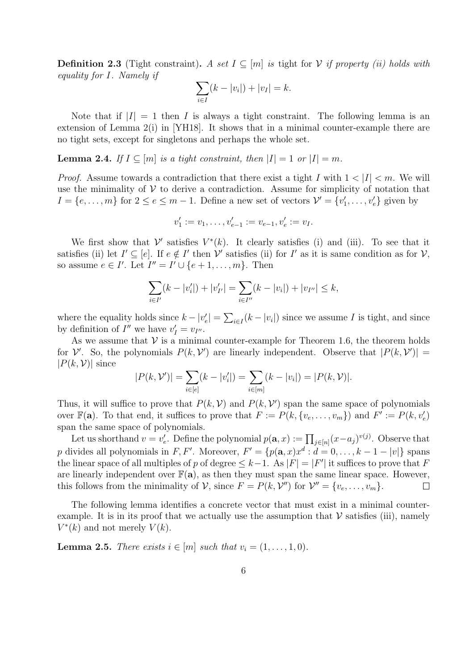**Definition 2.3** (Tight constraint). A set  $I \subseteq [m]$  is tight for V if property (ii) holds with equality for I. Namely if

$$
\sum_{i \in I} (k - |v_i|) + |v_I| = k.
$$

Note that if  $|I| = 1$  then I is always a tight constraint. The following lemma is an extension of Lemma 2(i) in [YH18]. It shows that in a minimal counter-example there are no tight sets, except for singletons and perhaps the whole set.

**Lemma 2.4.** If  $I \subseteq [m]$  is a tight constraint, then  $|I| = 1$  or  $|I| = m$ .

*Proof.* Assume towards a contradiction that there exist a tight I with  $1 < |I| < m$ . We will use the minimality of  $V$  to derive a contradiction. Assume for simplicity of notation that  $I = \{e, \ldots, m\}$  for  $2 \le e \le m - 1$ . Define a new set of vectors  $\mathcal{V}' = \{v'_1, \ldots, v'_e\}$  given by

$$
v'_1 := v_1, \dots, v'_{e-1} := v_{e-1}, v'_e := v_I.
$$

We first show that  $\mathcal{V}'$  satisfies  $V^*(k)$ . It clearly satisfies (i) and (iii). To see that it satisfies (ii) let  $I' \subseteq [e]$ . If  $e \notin I'$  then V' satisfies (ii) for I' as it is same condition as for V, so assume  $e \in I'$ . Let  $I'' = I' \cup \{e+1, \ldots, m\}$ . Then

$$
\sum_{i \in I'} (k - |v'_i|) + |v'_{I'}| = \sum_{i \in I''} (k - |v_i|) + |v_{I''}| \le k,
$$

where the equality holds since  $k - |v'_e| = \sum_{i \in I} (k - |v_i|)$  since we assume I is tight, and since by definition of  $I''$  we have  $v'_I = v_{I''}.$ 

As we assume that  $V$  is a minimal counter-example for Theorem 1.6, the theorem holds for  $V'$ . So, the polynomials  $P(k, V')$  are linearly independent. Observe that  $|P(k, V')|$  =  $|P(k, V)|$  since

$$
|P(k, \mathcal{V}')| = \sum_{i \in [e]} (k - |v'_i|) = \sum_{i \in [m]} (k - |v_i|) = |P(k, \mathcal{V})|.
$$

Thus, it will suffice to prove that  $P(k, V)$  and  $P(k, V')$  span the same space of polynomials over  $\mathbb{F}(\mathbf{a})$ . To that end, it suffices to prove that  $F := P(k, \{v_e, \ldots, v_m\})$  and  $F' := P(k, v'_e)$ span the same space of polynomials.

Let us shorthand  $v = v'_e$ . Define the polynomial  $p(\mathbf{a}, x) := \prod_{j \in [n]} (x - a_j)^{v(j)}$ . Observe that p divides all polynomials in F, F'. Moreover,  $F' = \{p(\mathbf{a}, x)x^d : d = 0, \ldots, k-1-|v|\}$  spans the linear space of all multiples of p of degree  $\leq k-1$ . As  $|F| = |F'|$  it suffices to prove that F are linearly independent over  $\mathbb{F}(\mathbf{a})$ , as then they must span the same linear space. However, this follows from the minimality of V, since  $F = P(k, V'')$  for  $V'' = \{v_e, \ldots, v_m\}$ .  $\Box$ 

The following lemma identifies a concrete vector that must exist in a minimal counterexample. It is in its proof that we actually use the assumption that  $\mathcal V$  satisfies (iii), namely  $V^*(k)$  and not merely  $V(k)$ .

**Lemma 2.5.** There exists  $i \in [m]$  such that  $v_i = (1, \ldots, 1, 0)$ .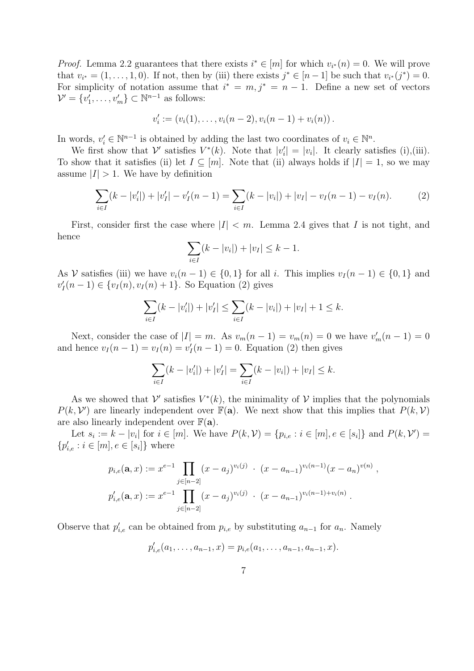*Proof.* Lemma 2.2 guarantees that there exists  $i^* \in [m]$  for which  $v_{i^*}(n) = 0$ . We will prove that  $v_{i^*} = (1, \ldots, 1, 0)$ . If not, then by (iii) there exists  $j^* \in [n-1]$  be such that  $v_{i^*}(j^*) = 0$ . For simplicity of notation assume that  $i^* = m, j^* = n - 1$ . Define a new set of vectors  $\mathcal{V}' = \{v'_1, \ldots, v'_m\} \subset \mathbb{N}^{n-1}$  as follows:

$$
v'_{i} := (v_{i}(1), \ldots, v_{i}(n-2), v_{i}(n-1) + v_{i}(n)).
$$

In words,  $v'_i \in \mathbb{N}^{n-1}$  is obtained by adding the last two coordinates of  $v_i \in \mathbb{N}^n$ .

We first show that  $\mathcal{V}'$  satisfies  $V^*(k)$ . Note that  $|v'_i| = |v_i|$ . It clearly satisfies (i),(iii). To show that it satisfies (ii) let  $I \subseteq [m]$ . Note that (ii) always holds if  $|I| = 1$ , so we may assume  $|I| > 1$ . We have by definition

$$
\sum_{i \in I} (k - |v'_i|) + |v'_I| - v'_I(n - 1) = \sum_{i \in I} (k - |v_i|) + |v_I| - v_I(n - 1) - v_I(n).
$$
 (2)

First, consider first the case where  $|I| < m$ . Lemma 2.4 gives that I is not tight, and hence

$$
\sum_{i \in I} (k - |v_i|) + |v_I| \le k - 1.
$$

As V satisfies (iii) we have  $v_i(n-1) \in \{0,1\}$  for all i. This implies  $v_I(n-1) \in \{0,1\}$  and  $v'_I(n-1) \in \{v_I(n), v_I(n) + 1\}$ . So Equation (2) gives

$$
\sum_{i \in I} (k - |v'_i|) + |v'_I| \le \sum_{i \in I} (k - |v_i|) + |v_I| + 1 \le k.
$$

Next, consider the case of  $|I| = m$ . As  $v_m(n-1) = v_m(n) = 0$  we have  $v'_m(n-1) = 0$ and hence  $v_I(n-1) = v_I(n) = v_I'(n-1) = 0$ . Equation (2) then gives

$$
\sum_{i \in I} (k - |v'_i|) + |v'_I| = \sum_{i \in I} (k - |v_i|) + |v_I| \le k.
$$

As we showed that  $\mathcal{V}'$  satisfies  $V^*(k)$ , the minimality of  $\mathcal{V}$  implies that the polynomials  $P(k, V')$  are linearly independent over  $\mathbb{F}(\mathbf{a})$ . We next show that this implies that  $P(k, V)$ are also linearly independent over  $\mathbb{F}(\mathbf{a})$ .

Let  $s_i := k - |v_i|$  for  $i \in [m]$ . We have  $P(k, V) = \{p_{i,e} : i \in [m], e \in [s_i]\}$  and  $P(k, V') =$  ${p'_{i,e}: i \in [m], e \in [s_i]}$  where

$$
p_{i,e}(\mathbf{a},x) := x^{e-1} \prod_{j \in [n-2]} (x - a_j)^{v_i(j)} \cdot (x - a_{n-1})^{v_i(n-1)} (x - a_n)^{v(n)},
$$
  

$$
p'_{i,e}(\mathbf{a},x) := x^{e-1} \prod_{j \in [n-2]} (x - a_j)^{v_i(j)} \cdot (x - a_{n-1})^{v_i(n-1) + v_i(n)}.
$$

Observe that  $p'_{i,e}$  can be obtained from  $p_{i,e}$  by substituting  $a_{n-1}$  for  $a_n$ . Namely

$$
p'_{i,e}(a_1,\ldots,a_{n-1},x)=p_{i,e}(a_1,\ldots,a_{n-1},a_{n-1},x).
$$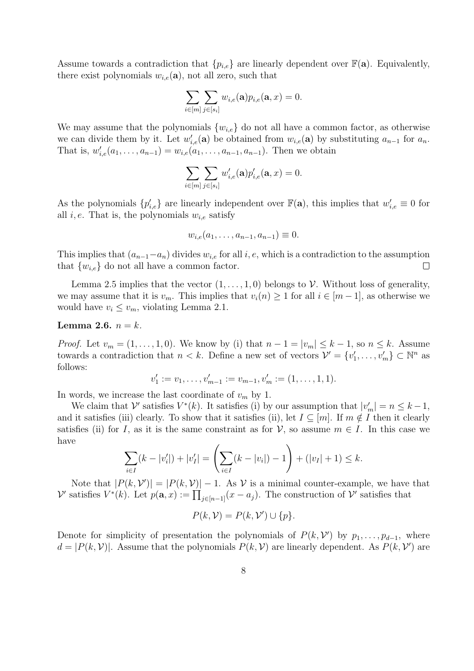Assume towards a contradiction that  $\{p_{i,e}\}\$ are linearly dependent over  $\mathbb{F}(\mathbf{a})$ . Equivalently, there exist polynomials  $w_{i,e}(\mathbf{a})$ , not all zero, such that

$$
\sum_{i\in[m]}\sum_{j\in[s_i]}w_{i,e}(\mathbf{a})p_{i,e}(\mathbf{a},x)=0.
$$

We may assume that the polynomials  ${w_{i,e}}$  do not all have a common factor, as otherwise we can divide them by it. Let  $w'_{i,e}(\mathbf{a})$  be obtained from  $w_{i,e}(\mathbf{a})$  by substituting  $a_{n-1}$  for  $a_n$ . That is,  $w'_{i,e}(a_1,\ldots,a_{n-1})=w_{i,e}(a_1,\ldots,a_{n-1},a_{n-1})$ . Then we obtain

$$
\sum_{i\in[m]}\sum_{j\in[s_i]}w'_{i,e}(\mathbf{a})p'_{i,e}(\mathbf{a},x)=0.
$$

As the polynomials  $\{p'_{i,e}\}\$ are linearly independent over  $\mathbb{F}(\mathbf{a})$ , this implies that  $w'_{i,e} \equiv 0$  for all i, e. That is, the polynomials  $w_{i,e}$  satisfy

$$
w_{i,e}(a_1,\ldots,a_{n-1},a_{n-1}) \equiv 0.
$$

This implies that  $(a_{n-1}-a_n)$  divides  $w_{i,e}$  for all  $i, e$ , which is a contradiction to the assumption that  $\{w_{i,e}\}\)$  do not all have a common factor.  $\Box$ 

Lemma 2.5 implies that the vector  $(1, \ldots, 1, 0)$  belongs to V. Without loss of generality, we may assume that it is  $v_m$ . This implies that  $v_i(n) \geq 1$  for all  $i \in [m-1]$ , as otherwise we would have  $v_i \le v_m$ , violating Lemma 2.1.

#### Lemma 2.6.  $n = k$ .

*Proof.* Let  $v_m = (1, \ldots, 1, 0)$ . We know by (i) that  $n - 1 = |v_m| \leq k - 1$ , so  $n \leq k$ . Assume towards a contradiction that  $n < k$ . Define a new set of vectors  $\mathcal{V}' = \{v'_1, \ldots, v'_m\} \subset \mathbb{N}^n$  as follows:

$$
v'_1 := v_1, \dots, v'_{m-1} := v_{m-1}, v'_m := (1, \dots, 1, 1).
$$

In words, we increase the last coordinate of  $v_m$  by 1.

We claim that  $\mathcal{V}'$  satisfies  $V^*(k)$ . It satisfies (i) by our assumption that  $|v'_m| = n \leq k - 1$ , and it satisfies (iii) clearly. To show that it satisfies (ii), let  $I \subseteq [m]$ . If  $m \notin I$  then it clearly satisfies (ii) for I, as it is the same constraint as for  $\mathcal{V}$ , so assume  $m \in I$ . In this case we have

$$
\sum_{i\in I} (k - |v'_i|) + |v'_I| = \left(\sum_{i\in I} (k - |v_i|) - 1\right) + (|v_I| + 1) \le k.
$$

Note that  $|P(k, V')| = |P(k, V)| - 1$ . As V is a minimal counter-example, we have that  $\mathcal V'$  satisfies  $V^*(k)$ . Let  $p(\mathbf{a},x):=\prod_{j\in[n-1]}(x-a_j)$ . The construction of  $\mathcal V'$  satisfies that

$$
P(k, V) = P(k, V') \cup \{p\}.
$$

Denote for simplicity of presentation the polynomials of  $P(k, V')$  by  $p_1, \ldots, p_{d-1}$ , where  $d = |P(k, V)|$ . Assume that the polynomials  $P(k, V)$  are linearly dependent. As  $P(k, V')$  are